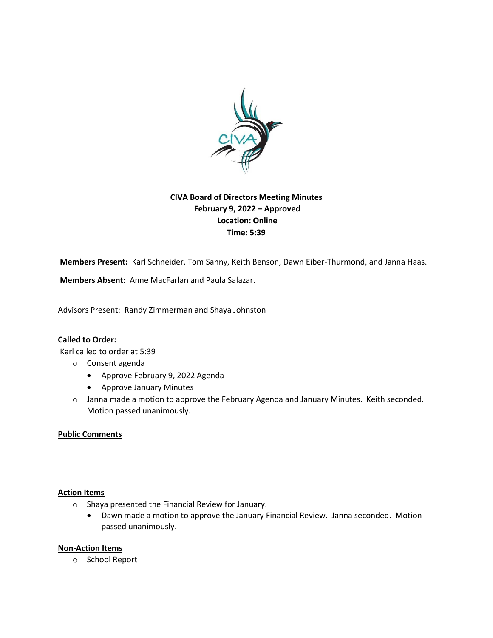

# **CIVA Board of Directors Meeting Minutes February 9, 2022 – Approved Location: Online Time: 5:39**

**Members Present:** Karl Schneider, Tom Sanny, Keith Benson, Dawn Eiber-Thurmond, and Janna Haas.

**Members Absent:** Anne MacFarlan and Paula Salazar.

Advisors Present: Randy Zimmerman and Shaya Johnston

### **Called to Order:**

Karl called to order at 5:39

- o Consent agenda
	- Approve February 9, 2022 Agenda
	- Approve January Minutes
- o Janna made a motion to approve the February Agenda and January Minutes. Keith seconded. Motion passed unanimously.

### **Public Comments**

### **Action Items**

- o Shaya presented the Financial Review for January.
	- Dawn made a motion to approve the January Financial Review. Janna seconded. Motion passed unanimously.

#### **Non-Action Items**

o School Report